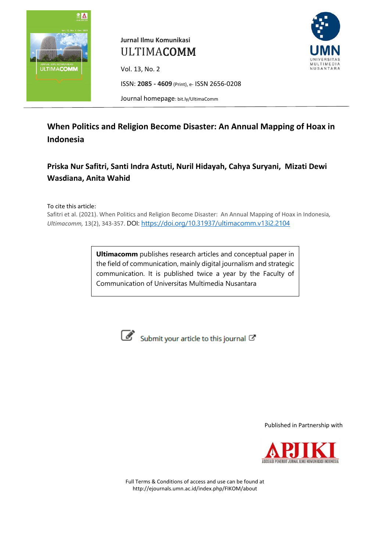

# **Jurnal Ilmu Komunikasi** ULTIMACOMM

Vol. 13, No. 2



ISSN: **2085 - 4609** (Print), e- ISSN 2656-0208

Journal homepage: [bit.ly/UltimaComm](file:///C:/Users/User/Documents/Work/Jurnal%20UltimaComm/Artikel%2011(1)/PDF%20Artikel%20Tunggal/bit.ly/UltimaComm)

# **When Politics and Religion Become Disaster: An Annual Mapping of Hoax in Indonesia**

# **Priska Nur Safitri, Santi Indra Astuti, Nuril Hidayah, Cahya Suryani, Mizati Dewi Wasdiana, Anita Wahid**

To cite this article:

Safitri et al. (2021). When Politics and Religion Become Disaster: An Annual Mapping of Hoax in Indonesia*, Ultimacomm,* 13(2), 343-357. DOI: <https://doi.org/10.31937/ultimacomm.v13i2.2104>

> **Ultimacomm** publishes research articles and conceptual paper in the field of communication, mainly digital journalism and strategic communication. It is published twice a year by the Faculty of Communication of Universitas Multimedia Nusantara



Submit your article to this journal C'

Published in Partnership with



Full Terms & Conditions of access and use can be found at http://ejournals.umn.ac.id/index.php/FIKOM/about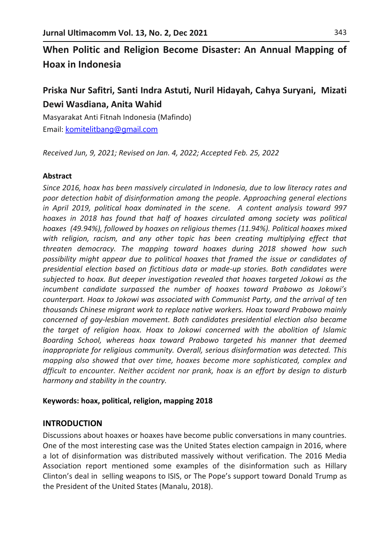# **When Politic and Religion Become Disaster: An Annual Mapping of Hoax in Indonesia**

## **Priska Nur Safitri, Santi Indra Astuti, Nuril Hidayah, Cahya Suryani, Mizati Dewi Wasdiana, Anita Wahid**

Masyarakat Anti Fitnah Indonesia (Mafindo) Email: [komitelitbang@gmail.com](mailto:komitelitbang@gmail.com)

*Received Jun, 9, 2021; Revised on Jan. 4, 2022; Accepted Feb. 25, 2022*

#### **Abstract**

*Since 2016, hoax has been massively circulated in Indonesia, due to low literacy rates and poor detection habit of disinformation among the people. Approaching general elections in April 2019, political hoax dominated in the scene. A content analysis toward 997 hoaxes in 2018 has found that half of hoaxes circulated among society was political hoaxes (49.94%), followed by hoaxes on religious themes (11.94%). Political hoaxes mixed*  with religion, racism, and any other topic has been creating multiplying effect that *threaten democracy. The mapping toward hoaxes during 2018 showed how such possibility might appear due to political hoaxes that framed the issue or candidates of presidential election based on fictitious data or made-up stories. Both candidates were subjected to hoax. But deeper investigation revealed that hoaxes targeted Jokowi as the incumbent candidate surpassed the number of hoaxes toward Prabowo as Jokowi's counterpart. Hoax to Jokowi was associated with Communist Party, and the arrival of ten thousands Chinese migrant work to replace native workers. Hoax toward Prabowo mainly concerned of gay-lesbian movement. Both candidates presidential election also became the target of religion hoax. Hoax to Jokowi concerned with the abolition of Islamic Boarding School, whereas hoax toward Prabowo targeted his manner that deemed inappropriate for religious community. Overall, serious disinformation was detected. This mapping also showed that over time, hoaxes become more sophisticated, complex and dfficult to encounter. Neither accident nor prank, hoax is an effort by design to disturb harmony and stability in the country.* 

#### **Keywords: hoax, political, religion, mapping 2018**

#### **INTRODUCTION**

Discussions about hoaxes or hoaxes have become public conversations in many countries. One of the most interesting case was the United States election campaign in 2016, where a lot of disinformation was distributed massively without verification. The 2016 Media Association report mentioned some examples of the disinformation such as Hillary Clinton's deal in selling weapons to ISIS, or The Pope's support toward Donald Trump as the President of the United States (Manalu, 2018).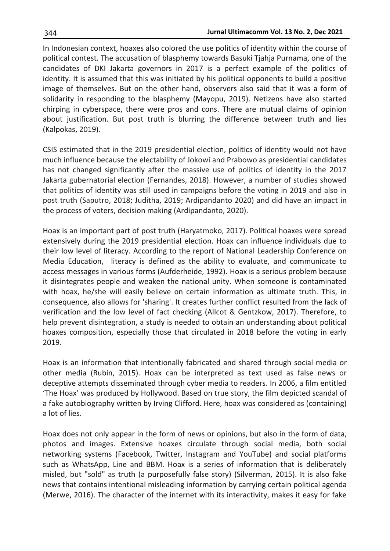In Indonesian context, hoaxes also colored the use politics of identity within the course of political contest. The accusation of blasphemy towards Basuki Tjahja Purnama, one of the candidates of DKI Jakarta governors in 2017 is a perfect example of the politics of identity. It is assumed that this was initiated by his political opponents to build a positive image of themselves. But on the other hand, observers also said that it was a form of solidarity in responding to the blasphemy (Mayopu, 2019). Netizens have also started chirping in cyberspace, there were pros and cons. There are mutual claims of opinion about justification. But post truth is blurring the difference between truth and lies (Kalpokas, 2019).

CSIS estimated that in the 2019 presidential election, politics of identity would not have much influence because the electability of Jokowi and Prabowo as presidential candidates has not changed significantly after the massive use of politics of identity in the 2017 Jakarta gubernatorial election (Fernandes, 2018). However, a number of studies showed that politics of identity was still used in campaigns before the voting in 2019 and also in post truth (Saputro, 2018; Juditha, 2019; Ardipandanto 2020) and did have an impact in the process of voters, decision making (Ardipandanto, 2020).

Hoax is an important part of post truth (Haryatmoko, 2017). Political hoaxes were spread extensively during the 2019 presidential election. Hoax can influence individuals due to their low level of literacy. According to the report of National Leadership Conference on Media Education, literacy is defined as the ability to evaluate, and communicate to access messages in various forms (Aufderheide, 1992). Hoax is a serious problem because it disintegrates people and weaken the national unity. When someone is contaminated with hoax, he/she will easily believe on certain information as ultimate truth. This, in consequence, also allows for 'sharing'. It creates further conflict resulted from the lack of verification and the low level of fact checking (Allcot & Gentzkow, 2017). Therefore, to help prevent disintegration, a study is needed to obtain an understanding about political hoaxes composition, especially those that circulated in 2018 before the voting in early 2019.

Hoax is an information that intentionally fabricated and shared through social media or other media (Rubin, 2015). Hoax can be interpreted as text used as false news or deceptive attempts disseminated through cyber media to readers. In 2006, a film entitled 'The Hoax' was produced by Hollywood. Based on true story, the film depicted scandal of a fake autobiography written by Irving Clifford. Here, hoax was considered as (containing) a lot of lies.

Hoax does not only appear in the form of news or opinions, but also in the form of data, photos and images. Extensive hoaxes circulate through social media, both social networking systems (Facebook, Twitter, Instagram and YouTube) and social platforms such as WhatsApp, Line and BBM. Hoax is a series of information that is deliberately misled, but "sold" as truth (a purposefully false story) (Silverman, 2015). It is also fake news that contains intentional misleading information by carrying certain political agenda (Merwe, 2016). The character of the internet with its interactivity, makes it easy for fake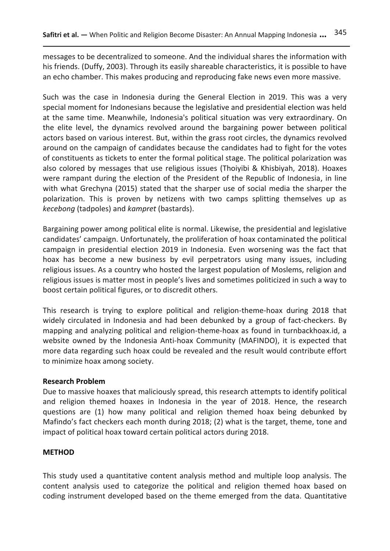messages to be decentralized to someone. And the individual shares the information with his friends. (Duffy, 2003). Through its easily shareable characteristics, it is possible to have an echo chamber. This makes producing and reproducing fake news even more massive.

Such was the case in Indonesia during the General Election in 2019. This was a very special moment for Indonesians because the legislative and presidential election was held at the same time. Meanwhile, Indonesia's political situation was very extraordinary. On the elite level, the dynamics revolved around the bargaining power between political actors based on various interest. But, within the grass root circles, the dynamics revolved around on the campaign of candidates because the candidates had to fight for the votes of constituents as tickets to enter the formal political stage. The political polarization was also colored by messages that use religious issues (Thoiyibi & Khisbiyah, 2018). Hoaxes were rampant during the election of the President of the Republic of Indonesia, in line with what Grechyna (2015) stated that the sharper use of social media the sharper the polarization. This is proven by netizens with two camps splitting themselves up as *kecebong* (tadpoles) and *kampret* (bastards).

Bargaining power among political elite is normal. Likewise, the presidential and legislative candidates' campaign. Unfortunately, the proliferation of hoax contaminated the political campaign in presidential election 2019 in Indonesia. Even worsening was the fact that hoax has become a new business by evil perpetrators using many issues, including religious issues. As a country who hosted the largest population of Moslems, religion and religious issues is matter most in people's lives and sometimes politicized in such a way to boost certain political figures, or to discredit others.

This research is trying to explore political and religion-theme-hoax during 2018 that widely circulated in Indonesia and had been debunked by a group of fact-checkers. By mapping and analyzing political and religion-theme-hoax as found in turnbackhoax.id, a website owned by the Indonesia Anti-hoax Community (MAFINDO), it is expected that more data regarding such hoax could be revealed and the result would contribute effort to minimize hoax among society.

#### **Research Problem**

Due to massive hoaxes that maliciously spread, this research attempts to identify political and religion themed hoaxes in Indonesia in the year of 2018. Hence, the research questions are (1) how many political and religion themed hoax being debunked by Mafindo's fact checkers each month during 2018; (2) what is the target, theme, tone and impact of political hoax toward certain political actors during 2018.

#### **METHOD**

This study used a quantitative content analysis method and multiple loop analysis. The content analysis used to categorize the political and religion themed hoax based on coding instrument developed based on the theme emerged from the data. Quantitative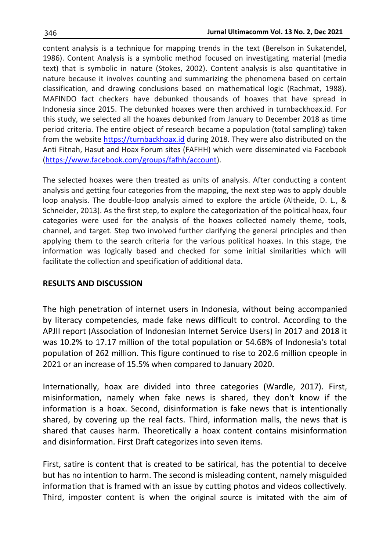content analysis is a technique for mapping trends in the text (Berelson in Sukatendel, 1986). Content Analysis is a symbolic method focused on investigating material (media text) that is symbolic in nature (Stokes, 2002). Content analysis is also quantitative in nature because it involves counting and summarizing the phenomena based on certain classification, and drawing conclusions based on mathematical logic (Rachmat, 1988). MAFINDO fact checkers have debunked thousands of hoaxes that have spread in Indonesia since 2015. The debunked hoaxes were then archived in turnbackhoax.id. For this study, we selected all the hoaxes debunked from January to December 2018 as time period criteria. The entire object of research became a population (total sampling) taken from the website [https://turnbackhoax.id](https://turnbackhoax.id/) during 2018. They were also distributed on the Anti Fitnah, Hasut and Hoax Forum sites (FAFHH) which were disseminated via Facebook [\(https://www.facebook.com/groups/fafhh/account\)](https://www.facebook.com/groups/fafhh/account).

The selected hoaxes were then treated as units of analysis. After conducting a content analysis and getting four categories from the mapping, the next step was to apply double loop analysis. The double-loop analysis aimed to explore the article (Altheide, D. L., & Schneider, 2013). As the first step, to explore the categorization of the political hoax, four categories were used for the analysis of the hoaxes collected namely theme, tools, channel, and target. Step two involved further clarifying the general principles and then applying them to the search criteria for the various political hoaxes. In this stage, the information was logically based and checked for some initial similarities which will facilitate the collection and specification of additional data.

#### **RESULTS AND DISCUSSION**

The high penetration of internet users in Indonesia, without being accompanied by literacy competencies, made fake news difficult to control. According to the APJII report (Association of Indonesian Internet Service Users) in 2017 and 2018 it was 10.2% to 17.17 million of the total population or 54.68% of Indonesia's total population of 262 million. This figure continued to rise to 202.6 million cpeople in 2021 or an increase of 15.5% when compared to January 2020.

Internationally, hoax are divided into three categories (Wardle, 2017). First, misinformation, namely when fake news is shared, they don't know if the information is a hoax. Second, disinformation is fake news that is intentionally shared, by covering up the real facts. Third, information malls, the news that is shared that causes harm. Theoretically a hoax content contains misinformation and disinformation. First Draft categorizes into seven items.

First, satire is content that is created to be satirical, has the potential to deceive but has no intention to harm. The second is misleading content, namely misguided information that is framed with an issue by cutting photos and videos collectively. Third, imposter content is when the original source is imitated with the aim of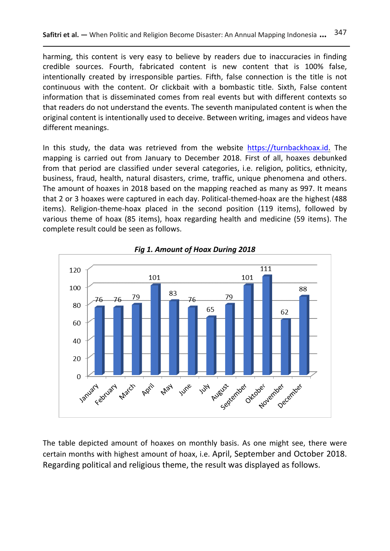harming, this content is very easy to believe by readers due to inaccuracies in finding credible sources. Fourth, fabricated content is new content that is 100% false, intentionally created by irresponsible parties. Fifth, false connection is the title is not continuous with the content. Or clickbait with a bombastic title. Sixth, False content information that is disseminated comes from real events but with different contexts so that readers do not understand the events. The seventh manipulated content is when the original content is intentionally used to deceive. Between writing, images and videos have different meanings.

In this study, the data was retrieved from the website [https://turnbackhoax.id.](https://turnbackhoax.id/) The mapping is carried out from January to December 2018. First of all, hoaxes debunked from that period are classified under several categories, i.e. religion, politics, ethnicity, business, fraud, health, natural disasters, crime, traffic, unique phenomena and others. The amount of hoaxes in 2018 based on the mapping reached as many as 997. It means that 2 or 3 hoaxes were captured in each day. Political-themed-hoax are the highest (488 items). Religion-theme-hoax placed in the second position (119 items), followed by various theme of hoax (85 items), hoax regarding health and medicine (59 items). The complete result could be seen as follows.



*Fig 1. Amount of Hoax During 2018*

The table depicted amount of hoaxes on monthly basis. As one might see, there were certain months with highest amount of hoax, i.e. April, September and October 2018. Regarding political and religious theme, the result was displayed as follows.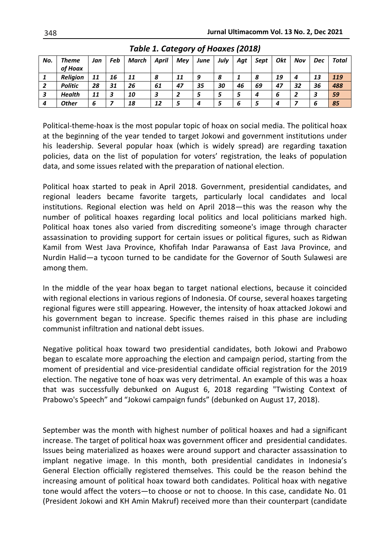| No. | Theme           | Jan | Feb | March | <b>April</b> | Mey | June | July | Agt | Sept | Okt | Nov | Dec | Total |
|-----|-----------------|-----|-----|-------|--------------|-----|------|------|-----|------|-----|-----|-----|-------|
|     | of Hoax         |     |     |       |              |     |      |      |     |      |     |     |     |       |
|     | <b>Religion</b> | 11  | 16  | 11    | 8            | 11  | 9    | 8    |     | 8    | 19  | 4   | 13  | 119   |
| -2  | <b>Politic</b>  | 28  | 31  | 26    | 61           | 47  | 35   | 30   | 46  | 69   | 47  | 32  | 36  | 488   |
| -3  | <b>Health</b>   | 11  |     | 10    | 3            |     |      |      |     | 4    | O   |     | P   | 59    |
| 4   | <b>Other</b>    | o   |     | 18    | 12           |     | 4    |      | 6   |      |     |     | ь   | 85    |

*Table 1. Category of Hoaxes (2018)*

Political-theme-hoax is the most popular topic of hoax on social media. The political hoax at the beginning of the year tended to target Jokowi and government institutions under his leadership. Several popular hoax (which is widely spread) are regarding taxation policies, data on the list of population for voters' registration, the leaks of population data, and some issues related with the preparation of national election.

Political hoax started to peak in April 2018. Government, presidential candidates, and regional leaders became favorite targets, particularly local candidates and local institutions. Regional election was held on April 2018—this was the reason why the number of political hoaxes regarding local politics and local politicians marked high. Political hoax tones also varied from discrediting someone's image through character assassination to providing support for certain issues or political figures, such as Ridwan Kamil from West Java Province, Khofifah Indar Parawansa of East Java Province, and Nurdin Halid—a tycoon turned to be candidate for the Governor of South Sulawesi are among them.

In the middle of the year hoax began to target national elections, because it coincided with regional elections in various regions of Indonesia. Of course, several hoaxes targeting regional figures were still appearing. However, the intensity of hoax attacked Jokowi and his government began to increase. Specific themes raised in this phase are including communist infiltration and national debt issues.

Negative political hoax toward two presidential candidates, both Jokowi and Prabowo began to escalate more approaching the election and campaign period, starting from the moment of presidential and vice-presidential candidate official registration for the 2019 election. The negative tone of hoax was very detrimental. An example of this was a hoax that was successfully debunked on August 6, 2018 regarding "Twisting Context of Prabowo's Speech" and "Jokowi campaign funds" (debunked on August 17, 2018).

September was the month with highest number of political hoaxes and had a significant increase. The target of political hoax was government officer and presidential candidates. Issues being materialized as hoaxes were around support and character assassination to implant negative image. In this month, both presidential candidates in Indonesia's General Election officially registered themselves. This could be the reason behind the increasing amount of political hoax toward both candidates. Political hoax with negative tone would affect the voters—to choose or not to choose. In this case, candidate No. 01 (President Jokowi and KH Amin Makruf) received more than their counterpart (candidate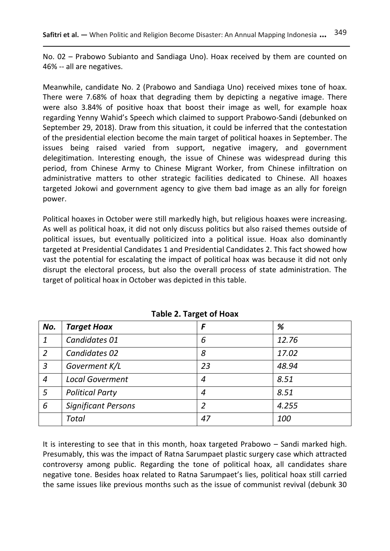No. 02 – Prabowo Subianto and Sandiaga Uno). Hoax received by them are counted on 46% -- all are negatives.

Meanwhile, candidate No. 2 (Prabowo and Sandiaga Uno) received mixes tone of hoax. There were 7.68% of hoax that degrading them by depicting a negative image. There were also 3.84% of positive hoax that boost their image as well, for example hoax regarding Yenny Wahid's Speech which claimed to support Prabowo-Sandi (debunked on September 29, 2018). Draw from this situation, it could be inferred that the contestation of the presidential election become the main target of political hoaxes in September. The issues being raised varied from support, negative imagery, and government delegitimation. Interesting enough, the issue of Chinese was widespread during this period, from Chinese Army to Chinese Migrant Worker, from Chinese infiltration on administrative matters to other strategic facilities dedicated to Chinese. All hoaxes targeted Jokowi and government agency to give them bad image as an ally for foreign power.

Political hoaxes in October were still markedly high, but religious hoaxes were increasing. As well as political hoax, it did not only discuss politics but also raised themes outside of political issues, but eventually politicized into a political issue. Hoax also dominantly targeted at Presidential Candidates 1 and Presidential Candidates 2. This fact showed how vast the potential for escalating the impact of political hoax was because it did not only disrupt the electoral process, but also the overall process of state administration. The target of political hoax in October was depicted in this table.

| No. | <b>Target Hoax</b>         | F  | %     |  |  |
|-----|----------------------------|----|-------|--|--|
|     | Candidates 01              | 6  | 12.76 |  |  |
| 2   | Candidates 02              | 8  | 17.02 |  |  |
| 3   | Goverment K/L              | 23 | 48.94 |  |  |
| 4   | <b>Local Goverment</b>     | 4  | 8.51  |  |  |
| 5   | <b>Political Party</b>     | 4  | 8.51  |  |  |
| 6   | <b>Significant Persons</b> |    | 4.255 |  |  |
|     | <b>Total</b>               | 47 | 100   |  |  |

**Table 2. Target of Hoax**

It is interesting to see that in this month, hoax targeted Prabowo – Sandi marked high. Presumably, this was the impact of Ratna Sarumpaet plastic surgery case which attracted controversy among public. Regarding the tone of political hoax, all candidates share negative tone. Besides hoax related to Ratna Sarumpaet's lies, political hoax still carried the same issues like previous months such as the issue of communist revival (debunk 30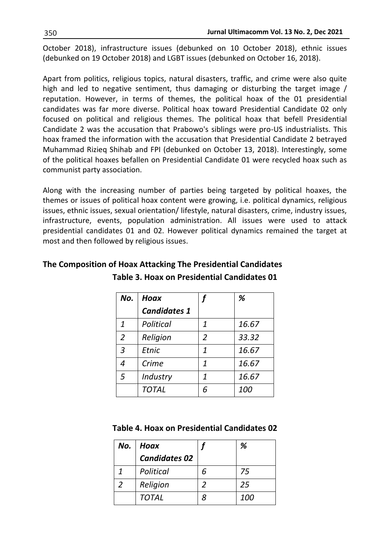October 2018), infrastructure issues (debunked on 10 October 2018), ethnic issues (debunked on 19 October 2018) and LGBT issues (debunked on October 16, 2018).

Apart from politics, religious topics, natural disasters, traffic, and crime were also quite high and led to negative sentiment, thus damaging or disturbing the target image / reputation. However, in terms of themes, the political hoax of the 01 presidential candidates was far more diverse. Political hoax toward Presidential Candidate 02 only focused on political and religious themes. The political hoax that befell Presidential Candidate 2 was the accusation that Prabowo's siblings were pro-US industrialists. This hoax framed the information with the accusation that Presidential Candidate 2 betrayed Muhammad Rizieq Shihab and FPI (debunked on October 13, 2018). Interestingly, some of the political hoaxes befallen on Presidential Candidate 01 were recycled hoax such as communist party association.

Along with the increasing number of parties being targeted by political hoaxes, the themes or issues of political hoax content were growing, i.e. political dynamics, religious issues, ethnic issues, sexual orientation/ lifestyle, natural disasters, crime, industry issues, infrastructure, events, population administration. All issues were used to attack presidential candidates 01 and 02. However political dynamics remained the target at most and then followed by religious issues.

| No.            | Hoax                |                | %     |
|----------------|---------------------|----------------|-------|
|                | <b>Candidates 1</b> |                |       |
| $\mathbf{1}$   | Political           | 1              | 16.67 |
| $\overline{2}$ | Religion            | $\overline{2}$ | 33.32 |
| 3              | Etnic               | 1              | 16.67 |
| 4              | Crime               | 1              | 16.67 |
| 5              | Industry            | 1              | 16.67 |
|                | <b>TOTAL</b>        | 6              | 100   |

### **The Composition of Hoax Attacking The Presidential Candidates Table 3. Hoax on Presidential Candidates 01**

#### **Table 4. Hoax on Presidential Candidates 02**

| No. | Hoax                 |   | ℅   |
|-----|----------------------|---|-----|
|     | <b>Candidates 02</b> |   |     |
|     | Political            |   | 75  |
|     | Religion             |   | 25  |
|     | <b>TOTAL</b>         | 8 | 100 |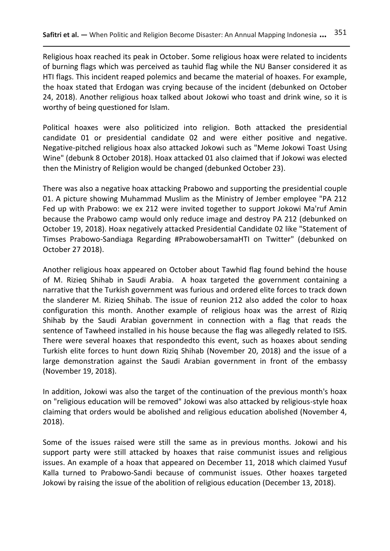Religious hoax reached its peak in October. Some religious hoax were related to incidents of burning flags which was perceived as tauhid flag while the NU Banser considered it as HTI flags. This incident reaped polemics and became the material of hoaxes. For example, the hoax stated that Erdogan was crying because of the incident (debunked on October 24, 2018). Another religious hoax talked about Jokowi who toast and drink wine, so it is worthy of being questioned for Islam.

Political hoaxes were also politicized into religion. Both attacked the presidential candidate 01 or presidential candidate 02 and were either positive and negative. Negative-pitched religious hoax also attacked Jokowi such as "Meme Jokowi Toast Using Wine" (debunk 8 October 2018). Hoax attacked 01 also claimed that if Jokowi was elected then the Ministry of Religion would be changed (debunked October 23).

There was also a negative hoax attacking Prabowo and supporting the presidential couple 01. A picture showing Muhammad Muslim as the Ministry of Jember employee "PA 212 Fed up with Prabowo: we ex 212 were invited together to support Jokowi Ma'ruf Amin because the Prabowo camp would only reduce image and destroy PA 212 (debunked on October 19, 2018). Hoax negatively attacked Presidential Candidate 02 like "Statement of Timses Prabowo-Sandiaga Regarding #PrabowobersamaHTI on Twitter" (debunked on October 27 2018).

Another religious hoax appeared on October about Tawhid flag found behind the house of M. Rizieq Shihab in Saudi Arabia. A hoax targeted the government containing a narrative that the Turkish government was furious and ordered elite forces to track down the slanderer M. Rizieq Shihab. The issue of reunion 212 also added the color to hoax configuration this month. Another example of religious hoax was the arrest of Riziq Shihab by the Saudi Arabian government in connection with a flag that reads the sentence of Tawheed installed in his house because the flag was allegedly related to ISIS. There were several hoaxes that respondedto this event, such as hoaxes about sending Turkish elite forces to hunt down Riziq Shihab (November 20, 2018) and the issue of a large demonstration against the Saudi Arabian government in front of the embassy (November 19, 2018).

In addition, Jokowi was also the target of the continuation of the previous month's hoax on "religious education will be removed" Jokowi was also attacked by religious-style hoax claiming that orders would be abolished and religious education abolished (November 4, 2018).

Some of the issues raised were still the same as in previous months. Jokowi and his support party were still attacked by hoaxes that raise communist issues and religious issues. An example of a hoax that appeared on December 11, 2018 which claimed Yusuf Kalla turned to Prabowo-Sandi because of communist issues. Other hoaxes targeted Jokowi by raising the issue of the abolition of religious education (December 13, 2018).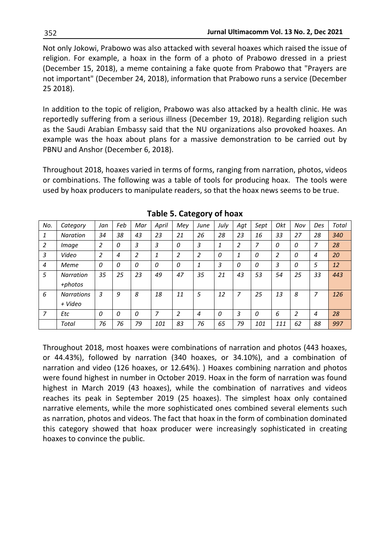Not only Jokowi, Prabowo was also attacked with several hoaxes which raised the issue of religion. For example, a hoax in the form of a photo of Prabowo dressed in a priest (December 15, 2018), a meme containing a fake quote from Prabowo that "Prayers are not important" (December 24, 2018), information that Prabowo runs a service (December 25 2018).

In addition to the topic of religion, Prabowo was also attacked by a health clinic. He was reportedly suffering from a serious illness (December 19, 2018). Regarding religion such as the Saudi Arabian Embassy said that the NU organizations also provoked hoaxes. An example was the hoax about plans for a massive demonstration to be carried out by PBNU and Anshor (December 6, 2018).

Throughout 2018, hoaxes varied in terms of forms, ranging from narration, photos, videos or combinations. The following was a table of tools for producing hoax. The tools were used by hoax producers to manipulate readers, so that the hoax news seems to be true.

| No.            | Category                     | Jan | Feb      | Mar            | April | Mey            | June           | July | Agt            | Sept | Okt | Nov | Des | Total |
|----------------|------------------------------|-----|----------|----------------|-------|----------------|----------------|------|----------------|------|-----|-----|-----|-------|
| 1              | <b>Naration</b>              | 34  | 38       | 43             | 23    | 21             | 26             | 28   | 23             | 16   | 33  | 27  | 28  | 340   |
| 2              | Image                        | 2   | 0        | 3              | 3     | 0              | 3              | 1    | $\overline{2}$ | 7    | 0   | 0   | 7   | 28    |
| $\overline{3}$ | Video                        | 2   | 4        | $\overline{2}$ | 1     | $\overline{a}$ | $\overline{2}$ | 0    | 1              | 0    | 2   | 0   | 4   | 20    |
| $\overline{4}$ | Meme                         | 0   | 0        | 0              | 0     | 0              | 1              | 3    | 0              | 0    | 3   | 0   | 5   | 12    |
| 5              | <b>Narration</b><br>+photos  | 35  | 25       | 23             | 49    | 47             | 35             | 21   | 43             | 53   | 54  | 25  | 33  | 443   |
| 6              | <b>Narrations</b><br>+ Video | 3   | 9        | 8              | 18    | 11             | 5              | 12   | 7              | 25   | 13  | 8   | 7   | 126   |
| $\overline{7}$ | Etc                          | 0   | $\Omega$ | $\overline{O}$ | 7     | 2              | 4              | 0    | 3              | 0    | 6   | 2   | 4   | 28    |
|                | Total                        | 76  | 76       | 79             | 101   | 83             | 76             | 65   | 79             | 101  | 111 | 62  | 88  | 997   |

**Table 5. Category of hoax**

Throughout 2018, most hoaxes were combinations of narration and photos (443 hoaxes, or 44.43%), followed by narration (340 hoaxes, or 34.10%), and a combination of narration and video (126 hoaxes, or 12.64%). ) Hoaxes combining narration and photos were found highest in number in October 2019. Hoax in the form of narration was found highest in March 2019 (43 hoaxes), while the combination of narratives and videos reaches its peak in September 2019 (25 hoaxes). The simplest hoax only contained narrative elements, while the more sophisticated ones combined several elements such as narration, photos and videos. The fact that hoax in the form of combination dominated this category showed that hoax producer were increasingly sophisticated in creating hoaxes to convince the public.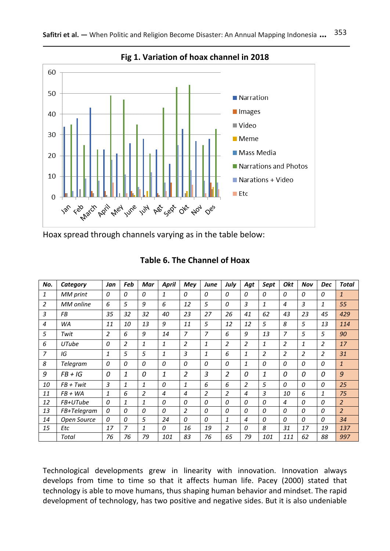

**Fig 1. Variation of hoax channel in 2018**

Hoax spread through channels varying as in the table below:

| No.            | Category         | Jan | Feb            | Mar            | April | Mey            | June           | July           | Agt            | Sept           | Okt            | Nov            | <b>Dec</b>     | Total          |
|----------------|------------------|-----|----------------|----------------|-------|----------------|----------------|----------------|----------------|----------------|----------------|----------------|----------------|----------------|
| 1              | MM print         | 0   | 0              | 0              | 1     | 0              | 0              | 0              | 0              | 0              | 0              | 0              | 0              | $\mathbf{1}$   |
| 2              | <b>MM</b> online | 6   | 5              | 9              | 6     | 12             | 5              | 0              | 3              | 1              | 4              | 3              | 1              | 55             |
| 3              | FВ               | 35  | 32             | 32             | 40    | 23             | 27             | 26             | 41             | 62             | 43             | 23             | 45             | 429            |
| $\overline{4}$ | WA               | 11  | 10             | 13             | 9     | 11             | 5              | 12             | 12             | 5              | 8              | 5              | 13             | 114            |
| 5              | Twit             | 2   | 6              | 9              | 14    | 7              | 7              | 6              | 9              | 13             | $\overline{7}$ | 5              | 5              | 90             |
| 6              | UTube            | 0   | $\overline{2}$ | 1              | 1     | $\overline{2}$ | 1              | $\overline{2}$ | $\overline{2}$ | 1              | $\overline{2}$ | 1              | 2              | 17             |
| $\overline{7}$ | IG               | 1   | 5              | 5              | 1     | 3              | $\mathbf{1}$   | 6              | $\mathbf{1}$   | $\overline{2}$ | $\overline{2}$ | $\overline{a}$ | $\overline{a}$ | 31             |
| 8              | Telegram         | 0   | 0              | 0              | 0     | 0              | 0              | 0              | $\mathbf{1}$   | 0              | 0              | 0              | 0              | $\mathbf{1}$   |
| 9              | $FB + IG$        | 0   | $\mathbf{1}$   | 0              | 1     | 2              | 3              | 2              | 0              | 1              | 0              | 0              | 0              | 9              |
| 10             | $FB + Twit$      | 3   | 1              | 1              | 0     | 1              | 6              | 6              | $\overline{2}$ | 5              | 0              | 0              | 0              | 25             |
| 11             | $FB + WA$        | 1   | 6              | $\overline{2}$ | 4     | 4              | $\overline{2}$ | $\overline{a}$ | 4              | 3              | 10             | 6              | 1              | 75             |
| 12             | FB+UTube         | 0   | 1              | 1              | 0     | 0              | $\overline{O}$ | 0              | 0              | 0              | 4              | 0              | 0              | $\overline{2}$ |
| 13             | FB+Telegram      | 0   | 0              | 0              | 0     | $\overline{2}$ | 0              | 0              | 0              | 0              | 0              | 0              | 0              | $\overline{2}$ |
| 14             | Open Source      | 0   | 0              | 5              | 24    | 0              | 0              | 1              | 4              | 0              | 0              | 0              | 0              | 34             |
| 15             | Etc              | 17  | 7              | 1              | 0     | 16             | 19             | $\overline{2}$ | 0              | 8              | 31             | 17             | 19             | 137            |
|                | Total            | 76  | 76             | 79             | 101   | 83             | 76             | 65             | 79             | 101            | 111            | 62             | 88             | 997            |

### **Table 6. The Channel of Hoax**

Technological developments grew in linearity with innovation. Innovation always develops from time to time so that it affects human life. Pacey (2000) stated that technology is able to move humans, thus shaping human behavior and mindset. The rapid development of technology, has two positive and negative sides. But it is also undeniable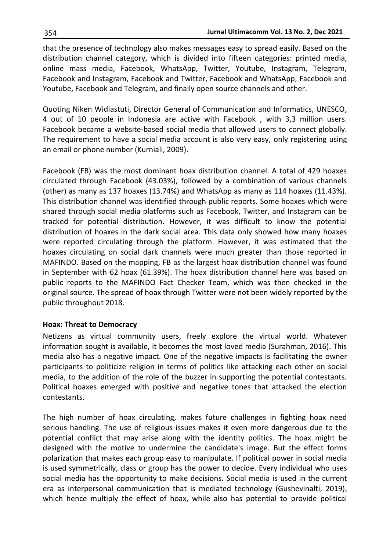that the presence of technology also makes messages easy to spread easily. Based on the distribution channel category, which is divided into fifteen categories: printed media, online mass media, Facebook, WhatsApp, Twitter, Youtube, Instagram, Telegram, Facebook and Instagram, Facebook and Twitter, Facebook and WhatsApp, Facebook and Youtube, Facebook and Telegram, and finally open source channels and other.

Quoting Niken Widiastuti, Director General of Communication and Informatics, UNESCO, 4 out of 10 people in Indonesia are active with Facebook , with 3,3 million users. Facebook became a website-based social media that allowed users to connect globally. The requirement to have a social media account is also very easy, only registering using an email or phone number (Kurniali, 2009).

Facebook (FB) was the most dominant hoax distribution channel. A total of 429 hoaxes circulated through Facebook (43.03%), followed by a combination of various channels (other) as many as 137 hoaxes (13.74%) and WhatsApp as many as 114 hoaxes (11.43%). This distribution channel was identified through public reports. Some hoaxes which were shared through social media platforms such as Facebook, Twitter, and Instagram can be tracked for potential distribution. However, it was difficult to know the potential distribution of hoaxes in the dark social area. This data only showed how many hoaxes were reported circulating through the platform. However, it was estimated that the hoaxes circulating on social dark channels were much greater than those reported in MAFINDO. Based on the mapping, FB as the largest hoax distribution channel was found in September with 62 hoax (61.39%). The hoax distribution channel here was based on public reports to the MAFINDO Fact Checker Team, which was then checked in the original source. The spread of hoax through Twitter were not been widely reported by the public throughout 2018.

#### **Hoax: Threat to Democracy**

Netizens as virtual community users, freely explore the virtual world. Whatever information sought is available, it becomes the most loved media (Surahman, 2016). This media also has a negative impact. One of the negative impacts is facilitating the owner participants to politicize religion in terms of politics like attacking each other on social media, to the addition of the role of the buzzer in supporting the potential contestants. Political hoaxes emerged with positive and negative tones that attacked the election contestants.

The high number of hoax circulating, makes future challenges in fighting hoax need serious handling. The use of religious issues makes it even more dangerous due to the potential conflict that may arise along with the identity politics. The hoax might be designed with the motive to undermine the candidate's image. But the effect forms polarization that makes each group easy to manipulate. If political power in social media is used symmetrically, class or group has the power to decide. Every individual who uses social media has the opportunity to make decisions. Social media is used in the current era as interpersonal communication that is mediated technology (Gushevinalti, 2019), which hence multiply the effect of hoax, while also has potential to provide political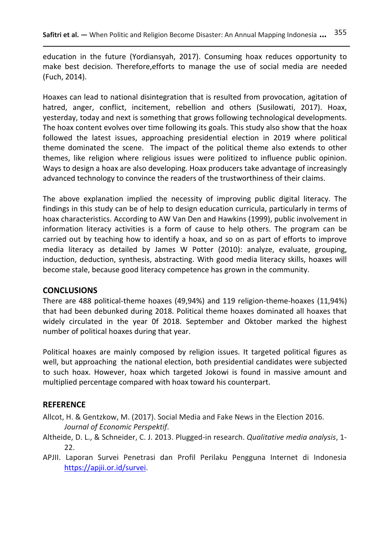education in the future (Yordiansyah, 2017). Consuming hoax reduces opportunity to make best decision. Therefore,efforts to manage the use of social media are needed (Fuch, 2014).

Hoaxes can lead to national disintegration that is resulted from provocation, agitation of hatred, anger, conflict, incitement, rebellion and others (Susilowati, 2017). Hoax, yesterday, today and next is something that grows following technological developments. The hoax content evolves over time following its goals. This study also show that the hoax followed the latest issues, approaching presidential election in 2019 where political theme dominated the scene. The impact of the political theme also extends to other themes, like religion where religious issues were politized to influence public opinion. Ways to design a hoax are also developing. Hoax producers take advantage of increasingly advanced technology to convince the readers of the trustworthiness of their claims.

The above explanation implied the necessity of improving public digital literacy. The findings in this study can be of help to design education curricula, particularly in terms of hoax characteristics. According to AW Van Den and Hawkins (1999), public involvement in information literacy activities is a form of cause to help others. The program can be carried out by teaching how to identify a hoax, and so on as part of efforts to improve media literacy as detailed by James W Potter (2010): analyze, evaluate, grouping, induction, deduction, synthesis, abstracting. With good media literacy skills, hoaxes will become stale, because good literacy competence has grown in the community.

### **CONCLUSIONS**

There are 488 political-theme hoaxes (49,94%) and 119 religion-theme-hoaxes (11,94%) that had been debunked during 2018. Political theme hoaxes dominated all hoaxes that widely circulated in the year 0f 2018. September and Oktober marked the highest number of political hoaxes during that year.

Political hoaxes are mainly composed by religion issues. It targeted political figures as well, but approaching the national election, both presidential candidates were subjected to such hoax. However, hoax which targeted Jokowi is found in massive amount and multiplied percentage compared with hoax toward his counterpart.

### **REFERENCE**

- Allcot, H. & Gentzkow, M. (2017). Social Media and Fake News in the Election 2016. *Journal of Economic Perspektif*.
- Altheide, D. L., & Schneider, C. J. 2013. Plugged-in research. *Qualitative media analysis*, 1- 22.
- APJII. Laporan Survei Penetrasi dan Profil Perilaku Pengguna Internet di Indonesia [https://apjii.or.id/survei.](https://apjii.or.id/survei)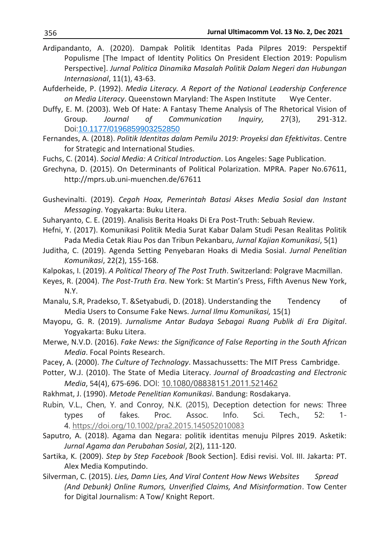- Ardipandanto, A. (2020). Dampak Politik Identitas Pada Pilpres 2019: Perspektif Populisme [The Impact of Identity Politics On President Election 2019: Populism Perspective]. *Jurnal Politica Dinamika Masalah Politik Dalam Negeri dan Hubungan Internasional*, 11(1), 43-63.
- Aufderheide, P. (1992). *Media Literacy. A Report of the National Leadership Conference on Media Literacy*. Queenstown Maryland: The Aspen Institute Wye Center.
- Duffy, E. M. (2003). Web Of Hate: A Fantasy Theme Analysis of The Rhetorical Vision of Group. *Journal of Communication Inquiry,* 27(3), 291-312. Doi[:10.1177/0196859903252850](https://doi.org/10.1177/0196859903252850)
- Fernandes, A. (2018). *Politik Identitas dalam Pemilu 2019: Proyeksi dan Efektivitas*. Centre for Strategic and International Studies.
- Fuchs, C. (2014). *Social Media: A Critical Introduction*. Los Angeles: Sage Publication.
- Grechyna, D. (2015). On Determinants of Political Polarization. MPRA. Paper No.67611, http://mprs.ub.uni-muenchen.de/67611
- Gushevinalti. (2019). *Cegah Hoax, Pemerintah Batasi Akses Media Sosial dan Instant Messaging*. Yogyakarta: Buku Litera.
- Suharyanto, C. E. (2019). Analisis Berita Hoaks Di Era Post-Truth: Sebuah Review.
- Hefni, Y. (2017). Komunikasi Politik Media Surat Kabar Dalam Studi Pesan Realitas Politik Pada Media Cetak Riau Pos dan Tribun Pekanbaru, *Jurnal Kajian Komunikasi*, 5(1)
- Juditha, C. (2019). Agenda Setting Penyebaran Hoaks di Media Sosial. *Jurnal Penelitian Komunikasi*, 22(2), 155-168.
- Kalpokas, I. (2019). *A Political Theory of The Post Truth*. Switzerland: Polgrave Macmillan.
- Keyes, R. (2004). *The Post-Truth Era*. New York: St Martin's Press, Fifth Avenus New York, N.Y.
- Manalu, S.R, Pradekso, T. &Setyabudi, D. (2018). Understanding the Tendency of Media Users to Consume Fake News. *Jurnal Ilmu Komunikasi,* 15(1)
- Mayopu, G. R. (2019). *Jurnalisme Antar Budaya Sebagai Ruang Publik di Era Digital*. Yogyakarta: Buku Litera.
- Merwe, N.V.D. (2016). *Fake News: the Significance of False Reporting in the South African Media*. Focal Points Research.
- Pacey, A. (2000). *The Culture of Technology*. Massachussetts: The MIT Press Cambridge.
- Potter, W.J. (2010). The State of Media Literacy. *Journal of Broadcasting and Electronic Media*, 54(4), 675-696. DOI: [10.1080/08838151.2011.521462](https://doi.org/10.1080/08838151.2011.521462)
- Rakhmat, J. (1990). *Metode Penelitian Komunikasi*. Bandung: Rosdakarya.

Rubin, V.L., Chen, Y. and Conroy, N.K. (2015), Deception detection for news: Three types of fakes. Proc. Assoc. Info. Sci. Tech., 52: 1- 4. <https://doi.org/10.1002/pra2.2015.145052010083>

- Saputro, A. (2018). Agama dan Negara: politik identitas menuju Pilpres 2019. Asketik: *Jurnal Agama dan Perubahan Sosial*, 2(2), 111-120.
- Sartika, K. (2009). *Step by Step Facebook [*Book Section]. Edisi revisi. Vol. III. Jakarta: PT. Alex Media Komputindo.
- Silverman, C. (2015). *Lies, Damn Lies, And Viral Content How News Websites Spread (And Debunk) Online Rumors, Unverified Claims, And Misinformation*. Tow Center for Digital Journalism: A Tow/ Knight Report.